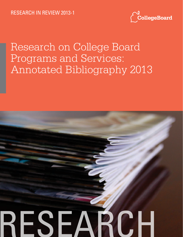

# Research on College Board Programs and Services: Annotated Bibliography 2013

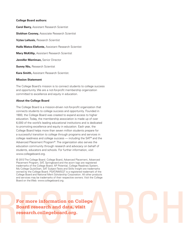#### **College Board authors:**

**Carol Barry,** Assistant Research Scientist **Siobhan Cooney,** Associate Research Scientist **Vytas Laitusis,** Research Scientist **Haifa Matos-Elefonte,** Assistant Research Scientist **Mary McKillip,** Assistant Research Scientist **Jennifer Merriman,** Senior Director **Sunny Niu, Research Scientist Kara Smith,** Assistant Research Scientist. **Mission Statement**

The College Board's mission is to connect students to college success and opportunity. We are a not-for-profit membership organization committed to excellence and equity in education.

#### **About the College Board**

The College Board is a mission-driven not-for-profit organization that connects students to college success and opportunity. Founded in 1900, the College Board was created to expand access to higher education. Today, the membership association is made up of over 6,000 of the world's leading educational institutions and is dedicated to promoting excellence and equity in education. Each year, the College Board helps more than seven million students prepare for a successful transition to college through programs and services in college readiness and college success — including the SAT® and the Advanced Placement Program®. The organization also serves the education community through research and advocacy on behalf of students, educators and schools. For further information, visit www.collegeboard.org.

© 2013 The College Board. College Board, Advanced Placement, Advanced Placement Program, SAT, Springboard and the acorn logo are registered trademarks of the College Board. AP Potential, College Readines System, My College QuickStart, SAT Subject Tests and Skills Insight are trademarks owned by the College Board. PSAT/NMSQT is a registered trademark of the College Board and National Merit Scholarship Corporation. All other products and services may be trademarks of their respective owners. Visit the College Board on the Web: www.collegeboard.org.

For more information on College **Board research and data**, visit research.collegeboard.org. **Board research and data, visit research.collegeboard.org.**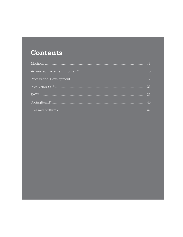## **Contents**

| PSAT/NMSOT <sup>®</sup> | 21 |
|-------------------------|----|
|                         | 31 |
|                         | 45 |
|                         |    |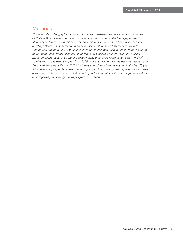## Methods

*This annotated bibliography contains summaries of research studies examining a number of College Board assessments and programs. To be included in the bibliography, each study needed to meet a number of criteria. First, articles must have been published (as a College Board research report, in an external journal, or as an ETS research report). Conference presentations or proceedings were not included because these materials often do not undergo as much scientific scrutiny as fully published papers. Also, the articles must represent research as either a validity study or an impact/evaluation study. All SAT*® *studies must have used samples from 2005 or later to account for the new test design, and*  Advanced Placement Program® (AP®) studies should have been published in the last 20 years. *All studies are grouped by assessment/program, and key findings that represent a synthesis across the studies are presented. Key findings refer to results of the most rigorous work to date regarding the College Board program in question.*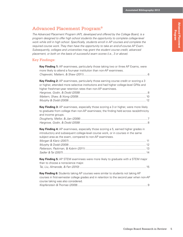# **Advanced Placement Advanced Placement<br>Program**

## Advanced Placement Program ®

*The Advanced Placement Program (AP), developed and offered by the College Board, is a program designed to offer high school students the opportunity to complete college-level work while still in high school. Specifically, students enroll in AP courses and complete the required course work. They then have the opportunity to take an end-of-course AP Exam. Subsequently, colleges and universities may grant the student course credit, advanced placement, or both on the basis of successful exam scores (i.e., 3 or above).*

## Key Findings:

| Key Finding 1: AP examinees, particularly those taking two or three AP Exams, were<br>more likely to attend a four-year institution than non-AP examinees.                                                                                   |
|----------------------------------------------------------------------------------------------------------------------------------------------------------------------------------------------------------------------------------------------|
|                                                                                                                                                                                                                                              |
| Key Finding 2: AP examinees, particularly those earning course credit or scoring a 3<br>or higher, attended more selective institutions and had higher college-level GPAs and<br>higher freshman-year retention rates than non-AP examinees. |
| Key Finding 3: AP examinees, especially those scoring a 3 or higher, were more likely<br>to graduate from college than non-AP examinees; the finding held across race/ethnicity<br>and income groups.                                        |
| Key Finding 4: AP examinees, especially those scoring a 5, earned higher grades in<br>introductory and subsequent college-level course work, or in courses in the same<br>subject area as the exam, compared to non-AP examinees.            |
| Key Finding 5: AP STEM examinees were more likely to graduate with a STEM major<br>than to choose a nonscience major.                                                                                                                        |
| Key Finding 6: Students taking AP courses were similar to students not taking AP<br>courses in first-semester college grades and in retention to the second year when non-AP<br>course taking was also considered.                           |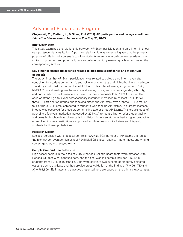#### **Chajewski, M., Mattern, K., & Shaw, E. J. (2011). AP participation and college enrollment.**  *Education Measurement: Issues and Practice, 30***, 16–27.**

#### **Brief Description:**

This study examined the relationship between AP Exam participation and enrollment in a fouryear postsecondary institution. A positive relationship was expected, given that the primary purpose of offering AP courses is to allow students to engage in college-level academic work while in high school and potentially receive college credit by earning qualifying scores on the corresponding AP Exam.

#### **Key Findings (including specifics related to statistical significance and magnitude of effect):**

The study finds that AP Exam participation was related to college enrollment, even after controlling for student demographic and ability characteristics and high-school-level predictors. The study controlled for the number of AP Exam titles offered; average high school PSAT/ NMSQT® critical reading, mathematics, and writing score; and students' gender, ethnicity, and prior academic performance as indexed by their composite PSAT/NMSQT score. The odds of attending a four-year postsecondary institution increased by at least 171% for all three AP participation groups (those taking either one AP Exam, two or three AP Exams, or four or more AP Exams) compared to students who took no AP Exams. The largest increase in odds was observed for those students taking two or three AP Exams. This group's odds of attending a four-year institution increased by 224%. After controlling for prior student ability and proxy high-school-level characteristics, African American students had a higher probability of enrolling in 4-year institutions as opposed to white peers, while Asians and Hispanic students had lower probabilities.

#### **Research Design:**

Logistic regression with statistical controls: PSAT/NMSQT; number of AP Exams offered at the high school; average high school PSAT/NMSQT critical reading, mathematics, and writing scores; gender; and race/ethnicity.

#### **Sample Size and Characteristics:**

High school seniors in the class of 2007 who took College Board tests were matched with National Student Clearinghouse data, and the final working sample includes 1,523,546 students from 17,142 high schools. Data were split into two subsets of randomly selected cases, so as to duplicate and thus provide cross-validation of the findings ( $N_{_I}$  = 761,740 and  $N_{2}$  = 761,806). Estimates and statistics presented here are based on the primary ( $N_{1}$ ) dataset.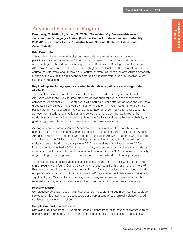## Advanced Placement **Advanced Placement Program**

## Advanced Placement Program

**Dougherty, C., Mellor, L., & Jian, S. (2006).** *The relationship between Advanced Placement and college graduation* **(National Center for Educational Accountability: 2005 AP Study Series, Report 1). Austin, Texas: National Center for Educational Accountability.**

## **Brief Description:**

This study explored the relationship between college graduation rates and student participation and achievement in AP courses and exams. Students were assigned to one of four categories based on their AP experience: (1) received a 3 or higher on at least one AP Exam; (2) took but did not received a 3 or higher on at least one AP Exam; (3) took AP course, not AP Exam; and (4) took no AP course or exam. Student ethnicity (African American, Hispanic, and white) and socioeconomic status (low-income versus non-low-income) were also taken into account.

#### **Key Findings (including specifics related to statistical significance and magnitude of effect):**

The results indicated that students who took and received a 3 or higher on at least one AP Exam were more likely to graduate from college than students in the other three categories. Additionally, 63% of students who earned a 3 or better on at least one AP Exam graduated from college in five years or less, whereas only 17% of students who did not participate in AP graduated in five years or less. Even after controlling for prior academic achievement, student-level variables, and school-level variables, the study found that students who earned a 3 or better on at least one AP Exam still had a higher probability of graduating from college than students in the other three categories.

Among student subgroups, African American and Hispanic students who achieved a 3 or higher on an AP Exam had a 28% higher probability of graduating from college than African American and Hispanic students who did not participate in AP. White students who received a 3 or higher on an AP Exam had a 33% higher probability of graduating from college than white students who did not participate in AP. If they received a 3 or higher on an AP Exam, low-income students had a 26% higher probability of graduating from college than students who did not participate in AP. Non-low-income AP students had a 34% increase in probability of graduating from college over non-low-income students who did not participate in AP.

To control for school-related variables, a school-level regression analysis was also run, and similar results were found. Overall, students who received a 3 or higher on one or more AP Exams were more likely to graduate from college in five years or less than students who did not pass the exam or who did not participate in AP. Regression coefficients were statistically significant (*p* < .001) for Hispanic, white, low-income, and non-low-income students who received a 3 or higher on at least one AP Exam, but not for African American students.

### **Research Design:**

Correlational/regression design with statistical controls: eighth-grade math test score; student socioeconomic status; average test scores and percentage of economically disadvantaged students in the students' school.

### **Sample Size and Characteristics:**

Statewide 1994 cohort of 67,412 eighth-grade students from Texas; students graduated from high school in 1998 and within 12 months enrolled in a Texas public college or university.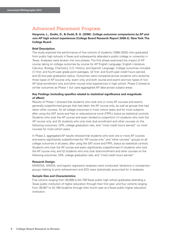**Hargrove, L., Godin, D., & Dodd, B. G. (2008).** *College outcomes comparisons by AP and non-AP high school experiences* **(College Board Research Report 2008-3). New York: The College Board.**

#### **Brief Description:**

The study explored the performance of five cohorts of students (1998–2002) who graduated from public high schools in Texas and subsequently attended a public college or university in Texas. Analyses were broken into two phases. The first phase examined the impact of AP course taking on college outcomes by course for AP English Language, English Literature, Calculus, Biology, Chemistry, U.S. History, and Spanish Language. College outcomes included (1) first- and fourth-year grade point averages, (2) first- and fourth-year credit hours earned, and (3) four-year graduation status. Outcomes were compared across students who varied by three types of AP (course only, exam only, and both course and exam) and two types of non-AP (dual enrollment only and other course only) experiences in high school. Phase 2 looked at similar outcomes as Phase 1 but used aggregated AP data across subject areas.

#### **Key Findings (including specifics related to statistical significance and magnitude of effect):**

Results of Phase 1 showed that students who took one or more AP courses and exams generally outperformed groups that had taken the AP course only, as well as groups that had taken other courses, for all college outcomes in most cohort years and for most subjects after using the SAT score and free or reduced-price lunch (FRPL) status as statistical controls. Students who took the AP course and exam tended to outperform (1) students who took the AP course only, and (2) students who only took dual enrollment and other courses on the following outcomes: GPA, college graduation rate, and "most credit hours earned" on most courses for most cohort years.

In Phase 2, aggregated AP results showed that students who took one or more AP courses and exams significantly outperformed the "AP course only" and "other courses" groups on all college outcomes in all years, after using the SAT score and FRPL status as statistical controls. Students who took the AP course and exam significantly outperformed (1) students who took the AP course only, and (2) students who only took dual enrollment and other courses on the following outcomes: GPA, college graduation rate, and "most credit hours earned."

#### **Research Design:**

MANOVA, ANOVA, and logistic regression analyses were conducted. Variations in comparison groups relating to prior achievement and SES were statistically accounted for in analyses.

#### **Sample Size and Characteristics:**

Five cohorts ranging from 58,899 to 62,709 Texas public high school graduates attending a Texas public institution of higher education through their first year; and four cohorts ranging from 38,907 to 42,199 students through their fourth year at a Texas public higher education institution.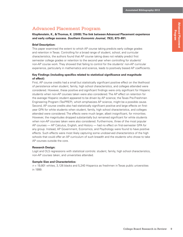**Klopfenstein, K., & Thomas, K. (2009). The link between Advanced Placement experience and early college success.** *Southern Economic Journal, 75***(3), 873–891.**

#### **Brief Description:**

This paper examined the extent to which AP course taking predicts early college grades and retention in Texas. Controlling for a broad range of student, school, and curricular characteristics, the authors found that AP course taking does not reliably predict first semester college grades or retention to the second year when controlling for students' non-AP course work. They showed that failing to control for the students' non-AP curricular experience, particularly in mathematics and science, leads to positively biased AP coefficients.

#### **Key Findings (including specifics related to statistical significance and magnitude of effect):**

First, AP course credits had a small but statistically significant positive effect on the likelihood of persistence when student, family, high school characteristics, and colleges attended were considered. However, these positive and significant findings were only significant for Hispanic students when non-AP courses taken were also considered. The AP effect on retention for the average Hispanic student appeared to be driven by AP science; the Texas Pre-Freshmen Engineering Program (TexPREP), which emphasizes AP science, might be a possible cause. Second, AP course credits also had statistically significant positive and large effects on firstyear GPA for white students when student, family, high school characteristics, and colleges attended were considered. The effects were much larger, albeit insignificant, for minorities. However, the magnitudes dropped substantially but remained significant for white students when non-AP courses taken were also considered. Furthermore, three of the most popular AP courses — AP Calculus, English, and History — had no effect on first-semester GPA for any group. Instead, AP Government, Economics, and Psychology were found to have positive effects. Such effects were most likely capturing some unobserved characteristics of the high schools that could offer an AP curriculum of such breadth and the students who chose to take AP courses outside the core.

#### **Research Design:**

Logit and OLS regressions with statistical controls: student, family, high school characteristics, non-AP courses taken, and universities attended.

#### **Sample Size and Characteristics:**

*n* = 19,801 whites, 3,126 blacks and 5,240 Hispanics as freshmen in Texas public universities in 1999.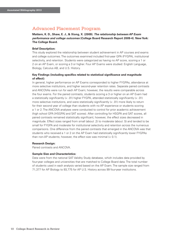**Mattern, K. D., Shaw, E. J., & Xiong, X. (2009).** *The relationship between AP Exam performance and college outcomes* **(College Board Research Report 2009-4). New York: The College Board.**

#### **Brief Description:**

This study explored the relationship between student achievement in AP courses and exams and college outcomes. The outcomes examined included first-year GPA (FYGPA), institutional selectivity, and retention. Students were categorized as having no AP score, scoring a 1 or 2 on an AP Exam, or scoring a 3 or higher. Four AP Exams were studied: English Language, Biology, Calculus AB, and U.S. History.

#### **Key Findings (including specifics related to statistical significance and magnitude of effect):**

In general, higher performance on AP Exams corresponded to higher FYGPAs, attendance at more selective institutions, and higher second-year retention rates. Separate paired contrasts and ANCOVAs were run for each AP Exam; however, the results were comparable across the four exams. For the paired contrasts, students scoring a 3 or higher on an AP Exam had a statistically significantly (< .01) higher FYGPA, attended statistically significantly (< .01) more selective institutions, and were statistically significantly (< .01) more likely to return for their second year of college than students with no AP experience or students scoring a 1 or 2. The ANCOVA analyses were conducted to control for prior academic achievement (high school GPA [HSGPA] and SAT scores). After controlling for HSGPA and SAT scores, all paired contrasts remained statistically significant; however, the effect sizes decreased in magnitude. Effect sizes ranged from small (about .2) to moderate (about .5) and tended to be small for FYGPA and moderate for institutional selectivity and retention across the numerous comparisons. One difference from the paired contrasts that emerged in the ANCOVA was that students who received a 1 or 2 on the AP Exam had statistically significantly lower FYGPAs than non-AP students; however, the effect size was minimal (< 0.1).

#### **Research Design:**

Paired contrasts and ANCOVA.

#### **Sample Size and Characteristics:**

Data were from the national SAT Validity Study database, which includes data provided by four-year colleges and universities that are matched to College Board data. The total number of students used in each analysis varied based on the AP Exam. The sample size ranged from 71,377 for AP Biology to 93,775 for AP U.S. History across 99 four-year institutions.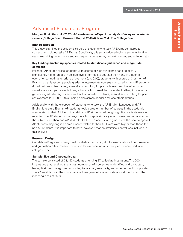**Morgan, R., & Klaric, J. (2007).** *AP students in college: An analysis of five-year academic careers* **(College Board Research Report 2007-4). New York: The College Board.**

#### **Brief Description:**

This study examined the academic careers of students who took AP Exams compared to students who did not take AP Exams. Specifically, this study followed college students for five years, examining performance and subsequent course work, graduation rates, and college major.

#### **Key Findings (including specifics related to statistical significance and magnitude of effect):**

For most AP course areas, students with scores of 5 on AP Exams had statistically significantly higher grades in college-level intermediate courses than non-AP students, even after controlling for prior achievement ( $p < 0.05$ ); students with scores of 3 or 4 on AP Exams had at least comparable grades in intermediate courses compared to non-AP students (for all but one subject area), even after controlling for prior achievement. The effect sizes varied across subject areas but ranged in size from small to moderate. Further, AP students generally graduated significantly earlier than non-AP students, even after controlling for prior achievement ( $p < 0.001$ ); this finding holds across gender and race/ethnic groups.

Additionally, with the exception of students who took the AP English Language and AP English Literature Exams, AP students took a greater number of courses in the academic area related to their AP Exam than did non-AP students. Although significance tests were not reported, the AP students took anywhere from approximately one to seven more courses in the subject area than non-AP students. Of those students who graduated, the percentages of AP students majoring in an area closely related to their AP Exam were higher than those for non-AP students. It is important to note, however, that no statistical control was included in this analysis.

#### **Research Design:**

Correlational/regression design with statistical controls (SAT) for examination of performance and graduation rates; mean comparison for examination of subsequent course work and college major.

#### **Sample Size and Characteristics:**

The sample consisted of 72,457 students attending 27 collegiate institutions. The 200 institutions that received the largest number of AP scores were identified and contacted, having first been categorized according to location, selectivity, and whether public or private. The 27 institutions in the study provided five years of academic data for students from the incoming class of 1994.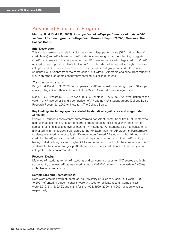**Murphy, D., & Dodd, B. (2009).** *A comparison of college performance of matched AP and non-AP student groups* **(College Board Research Report 2009-6). New York: The College Board.**

#### **Brief Description:**

This study examined the relationships between college performance (GPA and number of credit hours) and AP achievement. AP students were assigned to the following categories: (1) AP credit, meaning that students took an AP Exam and received college credit, or (2) AP no credit, meaning that students took an AP Exam but did not score well enough to receive college credit. AP students were compared to two different groups of students: non-AP students (i.e., students from the same cohort, but without AP credit) and concurrent students (i.e., high school students concurrently enrolled in a college course).

#### *This study expands upon:*

Keng, L., & Dodd, B. G. (2008). A comparison of AP and non-AP student groups in 10 subject areas (College Board Research Report No. 2008-7). New York: The College Board.

Dodd, B. G., Fitzpatrick, S. J., De Ayala, R. J., & Jennings, J. A. (2002). An investigation of the validity of AP scores of 3 and a comparison of AP and non-AP student groups (College Board Research Report No. 2002-9). New York: The College Board.

#### **Key Findings (including specifics related to statistical significance and magnitude of effect):**

Overall, AP students consistently outperformed non-AP students. Specifically, students who had taken at least one AP Exam took more credit hours in their first year, in their related subject area, and in college overall than non-AP students. AP students also had consistently higher GPAs in the subject area related to the AP Exam than non-AP students. Furthermore, students with credit statistically significantly outperformed AP students who did not receive credit for the AP, and also outperformed their matched counterparts without AP credit by having statistically significantly higher GPAs and number of credits. In the comparison of AP students to the concurrent group, AP students took more credit hours in their first year of college than the concurrent students.

#### **Research Design:**

Matched AP students to non-AP students and concurrent groups (on SAT scores and high school rank); two-way (AP status x credit status) MANOVA followed by univariate ANOVAs with planned comparisons.

#### **Sample Size and Characteristics:**

Data were obtained from students at The University of Texas at Austin. Four years (1998 to 2001) of entering student cohorts were analyzed to replicate results. Sample sizes were 5,910, 6,345, 6,467, and 6,219 for the 1998, 1999, 2000, and 2001 academic years, respectively.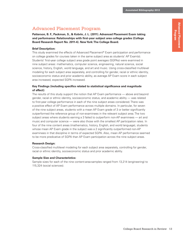## **Advanced Placement Advanced Placement Program**

## Advanced Placement Program

**Patterson, B. F., Packman, S., & Kobrin, J. L. (2011). Advanced Placement Exam taking and performance: Relationships with first-year subject area college grades (College Board Research Report No. 2011-4). New York: The College Board.**

#### **Brief Description:**

This study examined the effects of Advanced Placement® Exam participation and performance on college grades for courses taken in the same subject area as students' AP Exam(s). Students' first-year college subject area grade point averages (SGPAs) were examined in nine subject areas: mathematics, computer science, engineering, natural science, social science, history, English, world language, and art and music. Using cross-classified multilevel modeling for each subject area separately, and controlling for gender, racial or ethnic identity, socioeconomic status and prior academic ability, as average AP Exam score in each subject area increased, expected SGPA increased.

#### **Key Findings (including specifics related to statistical significance and magnitude of effect):**

The results of this study support the notion that AP Exam performance — above and beyond gender, racial or ethnic identity, socioeconomic status, and academic ability — was related to first-year college performance in each of the nine subject areas considered. There was a positive effect of AP Exam performance across multiple domains. In particular, for seven of the nine subject areas, students with a mean AP Exam grade of 3 or better significantly outperformed the reference group of non-examinees in the relevant subject area. The two subject areas where students earning a 3 failed to outperform non-AP examinees — art and music and computer science — were also those with the smallest AP participation rates. In four of the nine content areas (mathematics, history, English, and world language), students whose mean AP Exam grade in the subject was a 2 significantly outperformed non-AP examinees in that discipline in terms of expected SGPA. Also, mean AP performance seemed to be more predicative of SGPA than AP Exam participation across the nine subject areas.

#### **Research Design:**

Cross-classified multilevel modeling for each subject area separately, controlling for gender, racial or ethnic identity, socioeconomic status and prior academic ability.

#### **Sample Size and Characteristics:**

Sample sizes for each of the nine content-area-samples ranged from 13,214 (engineering) to 115,324 (social sciences).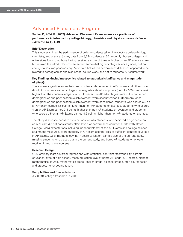**Sadler, P., & Tai, R. (2007). Advanced Placement Exam scores as a predictor of performance in introductory college biology, chemistry and physics courses.** *Science Educator, 16***(1), 1–19.**

#### **Brief Description:**

This study examined the performance of college students taking introductory college biology, chemistry, and physics. Survey data from 8,594 students at 55 randomly chosen colleges and universities found that those having received a score of three or higher on an AP science exam but retaken the introductory course earned somewhat higher college science grades, but not enough to assume prior mastery. Moreover, half of this performance difference appeared to be related to demographics and high school course work, and not to students' AP course work.

#### **Key Findings (including specifics related to statistical significance and magnitude of effect):**

There were large differences between students who enrolled in AP courses and others who didn't. AP students earned college course grades about four points (out of a 100-point scale) higher than the course average of a B-. However, the AP advantages were cut in half when demographics and prior academic achievement were accounted for. Furthermore, once demographics and prior academic achievement were considered, students who scored a 3 on an AP Exam earned 1.5 points higher than non-AP students on average, students who scored 4 on an AP Exam earned 3.4 points higher than non-AP students on average, and students who scored a 5 on an AP Exams earned 4.6 points higher than non-AP students on average.

The study discussed possible explanations for why students who achieved a high score on an AP Exam did not consistently attain levels of performance commensurate with stated College Board expectations including: nonequivalency of the AP Exams and college science attainment measures, overgenerosity in AP Exam scoring, lack of sufficient content coverage in AP Exams, weak methodology in AP score validation, sample size of the current study, missing students who placed out in the current study, and bored AP students who were retaking introductory courses.

#### **Research Design:**

OLS (ordinary least squares) regressions with statistical controls: race/ethnicity, parental education, type of high school, mean education level at home ZIP code, SAT scores, highest mathematics course, mathematics grade, English grade, science grades, prep course taken and grades, honor course taken.

#### **Sample Size and Characteristics:**

*n* = 8,594 college freshmen in 2005.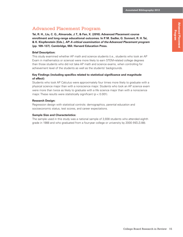## **Advanced Placement Advanced Placement Program**

## Advanced Placement Program

**Tai, R. H., Liu, C. Q., Almarode, J. T., & Fan, X. (2010). Advanced Placement course enrollment and long-range educational outcomes. In P. M. Sadler, G. Sonnert, R. H. Tai, & K. Klopfenstein (Eds.),** *AP: A critical examination of the Advanced Placement program* **(pp. 109–137). Cambridge, MA: Harvard Education Press.**

#### **Brief Description:**

This study examined whether AP math and science students (i.e., students who took an AP Exam in mathematics or science) were more likely to earn STEM-related college degrees than those students who did not take AP math and science exams, when controlling for achievement level of the students as well as the students' backgrounds.

#### **Key Findings (including specifics related to statistical significance and magnitude of effect):**

Students who took AP Calculus were approximately four times more likely to graduate with a physical science major than with a nonscience major. Students who took an AP science exam were more than twice as likely to graduate with a life science major than with a nonscience major. These results were statistically significant (*p* < 0.001).

#### **Research Design:**

Regression design with statistical controls: demographics, parental education and socioeconomic status, test scores, and career expectations.

#### **Sample Size and Characteristics:**

The sample used in this study was a national sample of 3,938 students who attended eighth grade in 1988 and who graduated from a four-year college or university by 2000 (NELS:88).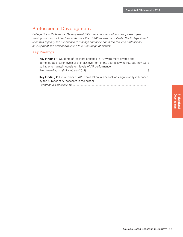## Professional Development

*College Board Professional Development (PD) offers hundreds of workshops each year, training thousands of teachers with more than 1,400 trained consultants. The College Board uses this capacity and experience to manage and deliver both the required professional development and project evaluation to a wide range of districts.*

#### Key Findings:

| <b>Key Finding 1:</b> Students of teachers engaged in PD were more diverse and                                                             |  |
|--------------------------------------------------------------------------------------------------------------------------------------------|--|
| demonstrated lower levels of prior achievement in the year following PD, but they were                                                     |  |
| still able to maintain consistent levels of AP performance.                                                                                |  |
|                                                                                                                                            |  |
| <b>Key Finding 2:</b> The number of AP Exams taken in a school was significantly influenced<br>by the number of AP teachers in the school. |  |
|                                                                                                                                            |  |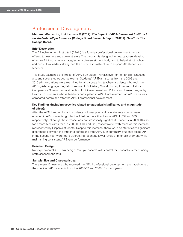## Professional Development

**Merriman-Bausmith, J., & Laitusis, V. (2012).** *The Impact of AP Achievement Institute I on students' AP performance* **(College Board Research Report 2012-7). New York: The College Board.**

#### **Brief Description:**

The AP Achievement Institute I (APAI I) is a four-day professional development program offered to teachers and administrators. The program is designed to help teachers develop effective AP instructional strategies for a diverse student body, and to help district, school, and curriculum leaders strengthen the district's infrastructure to support AP students and teachers.

This study examined the impact of APAI I on student AP achievement on English language arts and social studies course exams. Students' AP Exam scores from the 2009 and 2010 administrations were examined for all participating teachers' students who took the AP English Language, English Literature, U.S. History, World History, European History, Comparative Government and Politics, U.S. Government and Politics, or Human Geography Exams. For students whose teachers participated in APAI I, achievement on AP Exams was compared before and after the APAI I professional development.

#### **Key Findings (including specifics related to statistical significance and magnitude of effect):**

After the APAI I, more Hispanic students of lower prior ability in absolute counts were enrolled in AP courses taught by the APAI teachers than before APAI I (574 and 509, respectively), although the increase was not statistically significant. Students in 2009-10 also took more AP Exams than in 2008-09 (601 and 523, respectively), with much of this increase represented by Hispanic students. Despite this increase, there were no statistically significant differences between the students before and after APAI I. In summary, students taking AP in the second year were more diverse, representing lower levels of prior achievement while maintaining consistent AP Exam performance.

#### **Research Design:**

Nonexperimental ANCOVA design. Multiple cohorts with control for prior achievement using state assessment data.

#### **Sample Size and Characteristics:**

There were 12 teachers who received the APAI I professional development and taught one of the specified AP courses in both the 2008-09 and 2009-10 school years.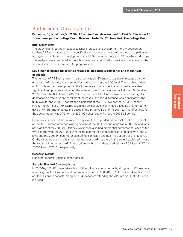## Professional Development

#### **Patterson, B., & Laitusis, V. (2006).** *AP professional development in Florida: Effects on AP Exam participation* **(College Board Research Note RN-27). New York: The College Board.**

#### **Brief Description:**

The study examined the impact of teacher professional development for AP courses on student AP Exam participation. It specifically looked at the impact of teacher participation in two types of professional development: the AP Summer Institute and AP half-day workshops. The analysis was completed at the school level and controlled for socioeconomic level of the school district, school size, and AP program size.

#### **Key Findings (including specifics related to statistical significance and magnitude of effect):**

The number of AP Exams taken in a school was significant and positively impacted by the number of AP teachers in the school for both cohorts at the 0.05 level. The number of days of AP professional development in the three years prior to the academic years was also significant and positively impacted the number of AP Exams in a school at the 0.05 level in 2001-02 and the 0.10 level in 2003-04. The number of AP Exams taken in a school slightly decreased as total student enrollment increased, and this difference was significant at the 0.05 level for the 2001-02 cohort and significant at the 0.10 level for the 2003-04 cohort. Finally, the number of AP Exams taken in a school significantly decreased as the number of days of AP Summer Institute increased in the three years prior to 2001-02. The effect size for the above model was 0.72 for the 2001-02 cohort and 0.78 for the 2003-04 cohort.

Results also indicated that number of days in PD also yielded differential results. The effect of the AP Summer Institutes was significant at the .05 level and negative in 2001-02 and was not significant for 2003-04. Half-day workshops also had differential outcomes for each of the two cohorts with the 2001-02 exam-taking parameter being significant and positive at the .01 level and the 2003-04 parameter also being significant and positive but only at the .10 level. Of the variables used in this study, the number of AP teachers in the school explained most of the variance in number of AP Exams taken, with partial *R*-squared values of 0.69 and 0.77 for 2001-02 and 2003-04, respectively.

#### **Research Design:**

Nonexperimental. Multiple cohort design.

#### **Sample Size and Characteristics:**

In 2001-02, 333 AP Exam takers from 317 of Florida's public schools, along with 309 teachers attending the AP Summer Institute, were included. In 2003-04, 351 AP Exam takers from 327 of Florida's public schools, along with 343 teachers attending the AP Summer Institute, were included.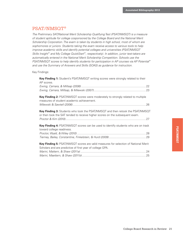*The Preliminary SAT/National Merit Scholarship Qualifying Test (PSAT/NMSQT) is a measure of student aptitude for college cosponsored by the College Board and the National Merit Scholarship Corporation. The exam is taken by students in high school, most of whom are sophomores or juniors. Students taking the exam receive access to various tools to help improve academic skills and identify potential colleges and universities (PSAT/NMSQT Skills Insight*™ *and My College QuickStart*™*, respectively). In addition, junior test-takers are automatically entered in the National Merit Scholarship Competition. Schools use the PSAT/NMSQT scores to help identify students for participation in AP courses via AP Potential*™ *and use the Summary of Answers and Skills (SOAS) as guidance for instruction.*

Key Findings:

| Key Finding 1: Student's PSAT/NMSQT writing scores were strongly related to their<br>AP scores.                                                                |  |
|----------------------------------------------------------------------------------------------------------------------------------------------------------------|--|
|                                                                                                                                                                |  |
| Key Finding 2: PSAT/NMSQT scores were moderately to strongly related to multiple<br>measures of student academic achievement.                                  |  |
|                                                                                                                                                                |  |
| Key Finding 3: Students who took the PSAT/NMSQT and then retook the PSAT/NMSQT<br>or then took the SAT tended to receive higher scores on the subsequent exam. |  |
| Key Finding 4: PSAT/NMSQT scores can be used to identify students who are on track<br>toward college readiness.                                                |  |
|                                                                                                                                                                |  |
| Key Finding 5: PSAT/NMSQT scores are valid measures for selection of National Merit<br>Scholars and are predictive of first year of college GPA.               |  |
|                                                                                                                                                                |  |
|                                                                                                                                                                |  |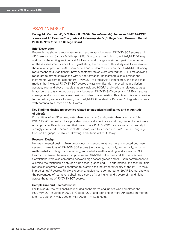**Ewing, M., Camara, W., & Millsap, R. (2006).** *The relationship between PSAT/NMSQT scores and AP Examination grades: A follow-up study* **(College Board Research Report 2006-1). New York: The College Board.**

#### **Brief Description:**

Research has shown a moderate-to-strong correlation between PSAT/NMSQT scores and AP Exam scores (Camara & Millsap, 1998). Due to changes in both the PSAT/NMSQT (e.g., addition of the writing section) and AP Exams, and changes in student participation rates on these assessments since the original study, the purpose of this study was to reexamine the relationship between AP Exam scores and students' scores on the PSAT/NMSQT using more recent data. Additionally, new expectancy tables were created for AP Exams showing moderate-to-strong correlations with AP performance. Researchers also examined the incremental validity of using the PSAT/NMSQT to predict AP Exam scores, and found that models that included PSAT/NMSQT scores always significantly improved the prediction accuracy over and above models that only included HSGPA and grades in relevant courses. In addition, results showed correlations between PSAT/NMSAT scores and AP Exam scores were generally consistent across various student characteristics. Results of this study provide further validity evidence for using the PSAT/NMSQT to identify 10th- and 11th-grade students with potential to succeed on AP Exams.

#### **Key Findings (including specifics related to statistical significance and magnitude of effect):**

Probabilities of an AP score greater than or equal to 3 and greater than or equal to 4 by PSAT/NMSQT score band are provided. Statistical significance and magnitude of effect were not applicable. Results showed that one or more PSAT/NMSQT scores were moderately to strongly correlated to scores on all AP Exams, with four exceptions: AP German Language, Spanish Language, Studio Art: Drawing, and Studio Art: 2-D Design.

#### **Research Design:**

Nonexperimental design. Pearson-product moment correlations were computed between seven combinations of PSAT/NMSQT scores (verbal only, math only, writing only, verbal + math, verbal + writing, math + writing, and verbal + math + writing) and scores on 33 AP Exams to examine the relationship between PSAT/NMSQT scores and AP Exam scores. Correlations were also computed between high school grades and AP Exam performance to examine the relationship between high school grades and AP performance, and then multiple regression analyses were conducted to examine the incremental validity of the PSAT/NMSQT in predicting AP scores. Finally, expectancy tables were computed for 29 AP Exams, showing the percentage of test-takers obtaining a score of 3 or higher, and a score of 4 and higher across the range of PSAT/NMSQT scores.

#### **Sample Size and Characteristics:**

For this study, the data analyzed included sophomores and juniors who completed the PSAT/NMSQT in October 2000 or October 2001 and took one or more AP Exams 19 months later (i.e., either in May 2002 or May 2003) (*n* = 1,035,696).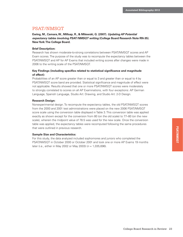**Ewing, M., Camara, W., Millsap, R., & Milewski, G. (2007).** *Updating AP Potential expectancy tables involving PSAT/NMSQT writing* **(College Board Research Note RN-35). New York: The College Board.**

#### **Brief Description:**

Research has shown moderate-to-strong correlations between PSAT/NMSQT scores and AP Exam scores. The purpose of the study was to recompute the expectancy tables between the PSAT/NMSQT and AP for AP Exams that included writing scores after changes were made in 2006 to the writing scale of the PSAT/NMSQT.

#### **Key Findings (including specifics related to statistical significance and magnitude of effect):**

Probabilities of an AP score greater than or equal to 3 and greater than or equal to 4 by PSAT/NMSQT score band are provided. Statistical significance and magnitude of effect were not applicable. Results showed that one or more PSAT/NMSQT scores were moderately to strongly correlated to scores on all AP Examinations, with four exceptions: AP German Language, Spanish Language, Studio Art: Drawing, and Studio Art: 2-D Design.

#### **Research Design:**

Nonexperimental design. To recompute the expectancy tables, the old PSAT/NMSQT scores from the 2000 and 2001 test administrations were placed on the new 2006 PSAT/NMSQT score scale using the conversion table displayed in Table 3. This conversion table was applied exactly as shown except for the conversion from 80 (on the old scale) to 77–80 (on the new scale), wherein the midpoint value of 78.5 was used for the new scale. Once the conversion table was applied, the expectancy tables were recomputed following the same procedures that were outlined in previous research.

#### **Sample Size and Characteristics:**

For this study, the data analyzed included sophomores and juniors who completed the PSAT/NMSQT in October 2000 or October 2001 and took one or more AP Exams 19 months later (i.e., either in May 2002 or May 2003) (*n* = 1,035,696).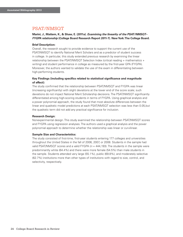#### **Marini, J., Mattern, K., & Shaw, E. (2011a).** *Examining the linearity of the PSAT/NMSQT– FYGPA relationship* **(College Board Research Report 2011-7). New York: The College Board.**

#### **Brief Description:**

Overall, the research sought to provide evidence to support the current use of the PSAT/NMSQT to identify National Merit Scholars and as a predictor of student success in college. In particular, this study extended previous research by examining the linear relationship between the PSAT/NMSQT Selection Index (critical reading + mathematics + writing) and student performance in college as measured by the first-year GPA (FYGPA). Moreover, the authors wanted to validate the use of the exam in differentiating between high-performing students.

#### **Key Findings (including specifics related to statistical significance and magnitude of effect):**

The study confirmed that the relationship between PSAT/NMSQT and FYGPA was linear (increasing significantly) with slight deviations at the lower end of the score scale; such deviations do not impact National Merit Scholarship decisions. The PSAT/NMSQT significantly differentiated among high-scoring students in terms of FYGPA. Using graphical analysis and a power polynomial approach, the study found that most absolute differences between the linear and quadratic model predictions at each PSAT/NMSQT selection was less than 0.05,but the quadratic term did not add any practical significance for inclusion.

#### **Research Design:**

Nonexperimental design. This study examined the relationship between PSAT/NMSQT scores and FYGPA using regression analyses. The authors used a graphical analysis and the power polynomial approach to determine whether the relationship was linear or curvilinear.

#### **Sample Size and Characteristics:**

The study consisted of first-time, first-year students entering 177 colleges and universities throughout the United States in the fall of 2006, 2007, or 2008. Students in the sample had valid PSAT/NMSQT scores and a valid FYGPA ( $n = 444,193$ ). The students in the sample were predominantly white (64.4%) and there were more female (54.5%) than male students in the sample. Students attended very large (55.1%), public (69.8%), and moderately selective (62.7%) institutions more than other types of institutions with regard to size, control, and selectivity, respectively.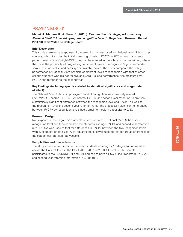**Marini, J., Mattern, K., & Shaw, E. (2011b).** *Examination of college performance by National Merit Scholarship program recognition level* **(College Board Research Report 2011-10). New York: The College Board.**

#### **Brief Description:**

This study examined the aptness of the selection process used for National Merit Scholarship winners, which includes the initial screening criteria of PSAT/NMSQT scores. If students perform well on the PSAT/NMSQT, they can be entered in the scholarship competition, where they have the possibility of progressing to different levels of recognition (e.g., commended, semifinalist, or finalist) and earning a scholarship award. The study compared the college performance of National Merit Scholars at different levels of recognition with that of other college students who did not receive an award. College performance was measured by FYGPA and retention to the second year.

#### **Key Findings (including specifics related to statistical significance and magnitude of effect):**

The National Merit Scholarship Program level of recognition was positively related to PSAT/NMSQT scores, HSGPA, SAT scores, FYGPA, and second-year retention. There was a statistically significant difference between the recognition level and FYGPA, as well as the recognition level and second-year retention rates. The statistically significant differences between FYGPA by recognition levels had a small to medium effect size (0.038).

#### **Research Design:**

Non-experimental design. This study classified students by National Merit Scholarship recognition level and then compared the students' average FYGPA and second-year retention rate. ANOVA was used to test for differences in FYGPA between the five recognition levels with subsequent effect sizes. A chi-squared statistic was used to test for group differences on the categorical retention rate variable.

#### **Sample Size and Characteristics:**

The study consisted of first-time, first-year students entering 177 colleges and universities across the United States in the fall of 2006, 2007, or 2008. Students in the sample participated in the PSAT/NMSQT and SAT and had to have a HSGPA (self-reported), FYGPA, and second-year retention information (*n* = 386,011).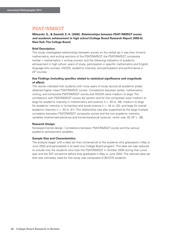**Milewski, G., & Sawtell, E. A. (2006).** *Relationships between PSAT/NMSQT scores and academic achievement in high school* **(College Board Research Report 2006-6). New York: The College Board.**

#### **Brief Description:**

This study investigated relationships between scores on the verbal (as it was then known), mathematics, and writing sections of the PSAT/NMSQT, the PSAT/NMSQT composite (verbal + mathematics + writing scores), and the following indicators of academic achievement in high school: years of study, participation in specific mathematics and English language arts courses, HSGPA, academic intensity, and participation and performance in AP courses.

#### **Key Findings (including specifics related to statistical significance and magnitude of effect):**

The results indicated that students with more years of study (across all academic areas) obtained higher mean PSAT/NMSQT scores. Correlations between verbal, mathematics, writing, and composite PSAT/NMSQT scores and HSGPA were medium to large. The correlations with PSAT/NMSQT scores (by section and for the composite) were medium to large for academic intensity in mathematics and science *(r* = .45 to .59), medium to large for academic intensity in humanities and social science (*r* = .44 to .52), and large for overall academic intensity  $(r = .53 \text{ to } .61)$ . This relationship was also supported by the large multiple correlation between PSAT/NMSQT composite scores and the two academic intensity variables (mathematics/science and humanities/social science), which was .62 (*R2* = .38).

#### **Research Design:**

Nonexperimental design. Correlations between PSAT/NMSQT scores and the various academic achievement variables.

#### **Sample Size and Characteristics:**

The analysis began with a data set that contained all of the students who graduated in May or June 2002 and participated in at least one College Board program. This data set was reduced to include only the students who took the PSAT/NMSQT in October 2000 during their junior year and the SAT sometime before they graduated in May or June 2002. The reduced data set that was ultimately used for this study was composed of 857,375 students.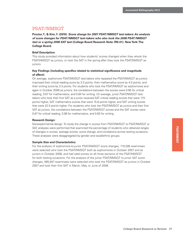**Proctor, T., & Kim, Y. (2010).** *Score change for 2007 PSAT/NMSQT test-takers: An analysis of score changes for PSAT/NMSQT test-takers who also took the 2008 PSAT/NMSQT test or a spring 2008 SAT test* **(College Board Research Note: RN-41). New York: The College Board.**

#### **Brief Description:**

This study provided information about how students' scores changed when they retook the PSAT/NMSQT as juniors, or took the SAT in the spring after they took the PSAT/NMSQT as juniors.

#### **Key Findings (including specifics related to statistical significance and magnitude of effect):**

On average, sophomore PSAT/NMSQT test-takers who repeated the PSAT/NMSQT as juniors improved their critical reading score by 3.3 points, their mathematics score by 4.0 points, and their writing score by 3.3 points. For students who took the PSAT/NMSQT as sophomores and again in October 2008 as juniors, the correlations between the scores were 0.85 for critical reading, 0.87 for mathematics, and 0.84 for writing. On average, junior PSAT/NMSQT testtakers who took their first SAT as a junior received SAT critical reading scores that were 17.5 points higher, SAT mathematics scores that were 15.8 points higher, and SAT writing scores that were 22.5 points higher. For students who took the PSAT/NMSQT as juniors and their first SAT as juniors, the correlations between the PSAT/NMSQT scores and the SAT scores were 0.87 for critical reading, 0.88 for mathematics, and 0.83 for writing.

#### **Research Design:**

Nonexperimental design. To study the change in scores from PSAT/NMSQT to PSAT/NMSQT or SAT, analyses were performed that examined the percentage of students who obtained ranges of changes in scores, average scores, score change, and correlations across testing occasions. These analyses were disaggregated by gender and racial/ethnic groups.

#### **Sample Size and Characteristics:**

For the analysis of sophomore-to-junior PSAT/NMSQT score changes, 710,595 examinees were selected who took the PSAT/NMSQT both as sophomores in October 2007 and as juniors in October 2008, and had valid scores on all three sections of the PSAT/NMSQT for both testing occasions. For the analysis of the junior PSAT/NMSQT to junior SAT score changes, 585,947 examinees were selected who took the PSAT/NMSQT as juniors in October 2007 and took their first SAT in March, May, or June of 2008.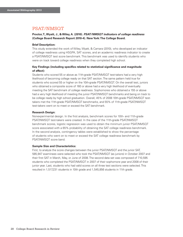#### **Proctor, T., Wyatt, J., & Wiley, A. (2010).** *PSAT/NMSQT indicators of college readiness* **(College Board Research Report 2010-4). New York: The College Board.**

#### **Brief Description:**

This study extended the work of Wiley, Wyatt, & Camara (2010), who developed an indicator of college readiness using HSGPA, SAT scores, and an academic readiness indicator to create a PSAT/NMSQT test score benchmark. This benchmark was used to identify students who were on track toward college readiness when they completed high school.

#### **Key Findings (including specifics related to statistical significance and magnitude of effect):**

Students who scored 55 or above as 11th-grade PSAT/NMSQT test-takers had a very high likelihood of becoming college ready on that SAT section. The same pattern held true for students who scored 55 or higher on the 10th-grade PSAT/NMSQT. On the overall test, juniors who obtained a composite score of 160 or above had a very high likelihood of eventually meeting the SAT benchmark of college readiness. Sophomores who obtained a 155 or above had a very high likelihood of meeting the junior PSAT/NMSQT benchmarks and being on track to be college ready by high school graduation. Overall, 45% of 2008 10th-grade PSAT/NMSQT testtakers met the 11th-grade PSAT/NMSQT benchmarks, and 55% of 11th-grade PSAT/NMSQT test-takers went on to meet or exceed the SAT benchmark.

#### **Research Design:**

Nonexperimental design. In the first analysis, benchmark scores for 10th- and 11th-grade PSAT/NMSQT test-takers were created. In the case of the 11th-grade PSAT/NMSQT benchmark scores, logistic regression was used to obtain the minimum junior PSAT/NMSQT score associated with a 65% probability of obtaining the SAT college readiness benchmark. In the second analysis, contingency tables were established to show the percentage of students who went on to meet or exceed the SAT college readiness benchmark by PSAT/NMSQT score band.

#### **Sample Size and Characteristics:**

First, to analyze the score changes between the junior PSAT/NMSQT and the junior SAT, 585,947 examinees were selected who took the PSAT/NMSQT (as juniors) in October 2007 and their first SAT in March, May, or June of 2008. The second data set was composed of 710,595 students who completed the PSAT/NMSQT in 2007 of their sophomore year and 2008 of their junior year. Last, students who had valid scores on all three test sections were selected. This resulted in 1,517,231 students in 10th grade and 1,545,856 students in 11th grade.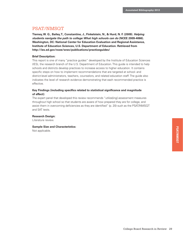**Tierney, W. G., Bailey, T., Constantine, J., Finkelstein, N., & Hurd, N. F. (2009).** *Helping students navigate the path to college: What high schools can do* **(NCEE 2009-4066). Washington, DC: National Center for Education Evaluation and Regional Assistance, Institute of Education Sciences, U.S. Department of Education. Retrieved from http://ies.ed.gov/ncee/wwc/publications/practiceguides/**

#### **Brief Description:**

This report is one of many "practice guides" developed by the Institute of Education Sciences (IES), the research branch of the U.S. Department of Education. This guide is intended to help schools and districts develop practices to increase access to higher education. It contains specific steps on how to implement recommendations that are targeted at school- and district-level administrators, teachers, counselors, and related education staff. The guide also indicates the level of research evidence demonstrating that each recommended practice is effective.

#### **Key Findings (including specifics related to statistical significance and magnitude of effect):**

The expert panel that developed this review recommends "utilize[ing] assessment measures throughout high school so that students are aware of how prepared they are for college, and assist them in overcoming deficiencies as they are identified" (p. 20) such as the PSAT/NMSQT and SAT tests.

#### **Research Design:**

Literature review.

#### **Sample Size and Characteristics:**

Not applicable.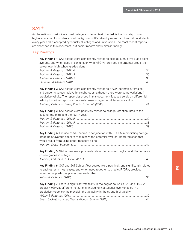## SAT®

As the nation's most widely used college admission test, the SAT is the first step toward higher education for students of all backgrounds. It's taken by more than two million students every year and is accepted by virtually all colleges and universities. The most recent reports are described in this document, but earlier reports show similar findings.

#### Key Findings:

| Key Finding 1: SAT scores were significantly related to college cumulative grade point<br>average, and when used in conjunction with HSGPA, provided incremental predictive<br>power over high school grades alone.                                                                                                                                        |  |
|------------------------------------------------------------------------------------------------------------------------------------------------------------------------------------------------------------------------------------------------------------------------------------------------------------------------------------------------------------|--|
|                                                                                                                                                                                                                                                                                                                                                            |  |
| Key Finding 2: SAT scores were significantly related to FYGPA for males, females,<br>and students across racial/ethnic subgroups, although there were some variations in<br>predictive validity. The report described in this document focused solely on differential<br>validity, but other reports show similar results regarding differential validity. |  |
| Key Finding 3: SAT scores were positively related to college retention rates to the<br>second, the third, and the fourth year.                                                                                                                                                                                                                             |  |
| Key Finding 4: The use of SAT scores in conjunction with HSGPA in predicting college<br>grade point average appears to minimize the potential over- or underprediction that<br>would result from using either measure alone.                                                                                                                               |  |
| Key Finding 5: SAT scores were positively related to first-year English and Mathematics<br>course grades in college.                                                                                                                                                                                                                                       |  |
| Key Finding 6: SAT and SAT Subject Test scores were positively and significantly related<br>to each other in most cases, and when used together to predict FYGPA, provided<br>incremental predictive power over each other.                                                                                                                                |  |
| Key Finding 7: There is significant variability in the degree to which SAT and HSGPA<br>predict FYGPA at different institutions. Including institutional level variables in a<br>predictive model can help explain the variability in the strength of validity.                                                                                            |  |
|                                                                                                                                                                                                                                                                                                                                                            |  |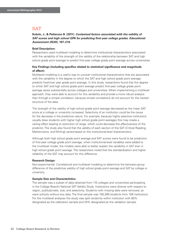**Kobrin, J., & Patterson B. (2011).** *Contextual factors associated with the validity of*  **SAT scores and high school GPA for predicting first-year college grades. Educational** *Assessment 25***(30), 197–219.**

#### **Brief Description:**

Researchers used multilevel modeling to determine institutional characteristics associated with the variability of the strength of the validity of the relationship between SAT and high school grade point average to predict first-year college grade point average across universities.

#### **Key Findings (including specifics related to statistical significance and magnitude of effect):**

Multilevel modeling is a useful way to uncover institutional characteristics that are associated with the variability in the degree to which the SAT and high school grade point average predicts freshman year grade point average. In this study, researchers found that the degree to which SAT and high school grade point average predict first-year college grade point average varies substantially across colleges and universities. When implementing a multilevel approach, they were able to account for this variability and provide a more robust analysis than through a simple correlation, because simple correlations do not account for the nested structure of the data.

The strength of the validity of high school grade point average decreased as the mean SAT score at a college or university increased. Selectivity of an institution could be the cause for the decrease in the predictive nature. For example, because highly selective institutions usually draw students with higher high school grade point averages this may create a ceiling effect leading to restriction of range, which could decrease the effectiveness of the predictor. The study also found that the validity of each section of the SAT (Critical Reading, Mathematics, and Writing) varied based on the institutional-level characteristics.

Although both high school grade point average and SAT scores were found to be predictors of first-year college grade point average, when institutional-level variables were added to the multilevel model, the models were able to better explain the variability in SAT than in high school grade point average. The researchers noted that the standardization and higher reliability of the SAT may account for this difference.

#### **Research Design:**

Non-experimental. Correlational and multilevel modeling to determine the between-group difference of the predictive validity of high school grade point average and SAT by college or university.

#### **Sample Size and Characteristics:**

The sample was a subset of data obtained from 110 colleges and universities participating in the College Board's National SAT Validity Study. Institutions were diverse with respect to region, public/private, size, and selectivity. Students with missing data were removed, as were schools without any data. The final sample was 150,269 students from 109 institutions. For the multilevel analyses the study was split randomly within institution with 80% designated as the calibration sample and 20% designated as the validation sample.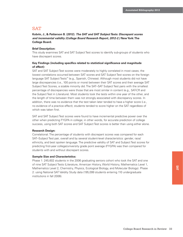#### **Kobrin, J., & Patterson B. (2012).** *The SAT and SAT Subject Tests: Discrepant scores and incremental validity (College Board Research Report, 2012-2.)* **New York: The College Board.**

#### **Brief Description:**

This study examines SAT and SAT Subject Test scores to identify sub-groups of students who have discrepant scores.

#### **Key Findings (including specifics related to statistical significance and magnitude of effect):**

SAT and SAT Subject Test scores were moderately to highly correlated in most cases; the lowest correlations occurred between SAT scores and SAT Subject Test scores on the foreign language SAT Subject Tests™ (e.g., Spanish, Chinese). Although most students did not have large discrepancies (i.e., 100 points or more) between their SAT scores and their average SAT Subject Test Scores, a sizable minority did. The SAT–SAT Subject Test pairs with the smallest percentage of discrepancies were those that are most similar in content (e.g., SAT-CR and the Subject Test in Literature). Most students took the tests within one year of the other, and the length of time between them was not strongly associated with discrepancy scores. In addition, there was no evidence that the test taken later tended to have a higher score (i.e., no evidence of a practice effect); students tended to score higher on the SAT regardless of which was taken first.

SAT and SAT Subject Test scores were found to have incremental predictive power over the other when predicting FYGPA in college; in other words, for accurate prediction of college success, using both SAT scores and SAT Subject Test scores is better than using either alone.

#### **Research Design:**

Correlational. The percentage of students with discrepant scores was compared for each SAT–Subject Test pair, overall and by several student-level characteristics: gender, race/ ethnicity, and best spoken language. The predictive validity of SAT and Subject Test scores for predicting first-year college/university grade point average (FYGPA) was then compared for students with and without discrepant scores.

#### **Sample Size and Characteristics:**

Phase 1: 245,602 students in the 2006 graduating seniors cohort who took the SAT and one of nine SAT Subject Tests (Literature, American History, World History, Mathematics Level 1, Mathematics Level 2, Chemistry, Physics, Ecological Biology, and Molecular Biology). Phase 2: using National SAT Validity Study data (195,099 students entering 110 undergraduate institutions in fall 2006).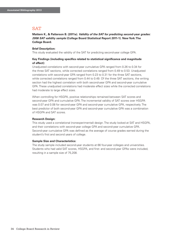**Mattern K., & Patterson B. (2011a).** *Validity of the SAT for predicting second-year grades: 2006 SAT validity sample* **(College Board Statistical Report 2011-1). New York: The College Board.**

#### **Brief Description:**

This study evaluated the validity of the SAT for predicting second-year college GPA.

#### **Key Findings (including specifics related to statistical significance and magnitude of effect):**

Unadjusted correlations with second-year cumulative GPA ranged from 0.26 to 0.34 for the three SAT sections, while corrected correlations ranged from 0.49 to 0.53. Unadjusted correlations with second-year GPA ranged from 0.23 to 0.31 for the three SAT sections, while corrected correlations ranged from 0.44 to 0.49. Of the three SAT sections, the writing section had the highest correlation with both second-year GPA and second-year cumulative GPA. These unadjusted correlations had moderate effect sizes while the corrected correlations had moderate to large effect sizes.

When controlling for HSGPA, positive relationships remained between SAT scores and second-year GPA and cumulative GPA. The incremental validity of SAT scores over HSGPA was 0.07 and 0.08 for second-year GPA and second-year cumulative GPA, respectively. The best predictor of both second-year GPA and second-year cumulative GPA was a combination of HSGPA and SAT scores.

#### **Research Design:**

This study used a correlational (nonexperimental) design. The study looked at SAT and HSGPA, and their correlations with second-year college GPA and second-year cumulative GPA. Second-year cumulative GPA was defined as the average of course grades earned during the student's first and second years of college.

#### **Sample Size and Characteristics:**

The study sample included second-year students at 66 four-year colleges and universities. Students who had valid SAT scores, HSGPA, and first- and second-year GPAs were included, resulting in a sample size of 75,208.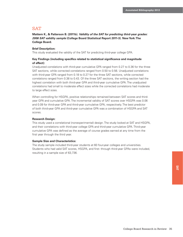**Mattern K., & Patterson B. (2011b).** *Validity of the SAT for predicting third-year grades: 2006 SAT validity sample* **(College Board Statistical Report 2011-3). New York: The College Board.**

#### **Brief Description:**

This study evaluated the validity of the SAT for predicting third-year college GPA.

#### **Key Findings (including specifics related to statistical significance and magnitude of effect):**

Unadjusted correlations with third-year cumulative GPA ranged from 0.27 to 0.36 for the three SAT sections, while corrected correlations ranged from 0.50 to 0.56. Unadjusted correlations with third-year GPA ranged from 0.18 to 0.27 for the three SAT sections, while corrected correlations ranged from 0.38 to 0.43. Of the three SAT sections, the writing section had the highest correlation with both third-year GPA and third-year cumulative GPA. The unadjusted correlations had small to moderate effect sizes while the corrected correlations had moderate to large effect sizes.

When controlling for HSGPA, positive relationships remained between SAT scores and thirdyear GPA and cumulative GPA. The incremental validity of SAT scores over HSGPA was 0.06 and 0.09 for third-year GPA and third-year cumulative GPA, respectively. The best predictor of both third-year GPA and third-year cumulative GPA was a combination of HSGPA and SAT scores.

#### **Research Design:**

This study used a correlational (nonexperimental) design. The study looked at SAT and HSGPA, and their correlations with third-year college GPA and third-year cumulative GPA. Third-year cumulative GPA was defined as the average of course grades earned at any time from the first year through the third year.

#### **Sample Size and Characteristics:**

The study sample included third-year students at 60 four-year colleges and universities. Students who had valid SAT scores, HSGPA, and first- through third-year GPAs were included, resulting in a sample size of 63,736.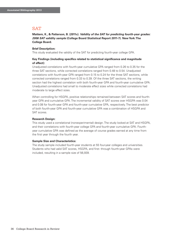**Mattern, K., & Patterson, B. (2011c).** *Validity of the SAT for predicting fourth-year grades: 2006 SAT validity sample* **(College Board Statistical Report 2011-7). New York: The College Board.**

#### **Brief Description:**

This study evaluated the validity of the SAT for predicting fourth-year college GPA.

#### **Key Findings (including specifics related to statistical significance and magnitude of effect):**

Unadjusted correlations with fourth-year cumulative GPA ranged from 0.26 to 0.35 for the three SAT sections, while corrected correlations ranged from 0.48 to 0.54. Unadjusted correlations with fourth-year GPA ranged from 0.15 to 0.24 for the three SAT sections, while corrected correlations ranged from 0.33 to 0.39. Of the three SAT sections, the writing section had the highest correlation with both fourth-year GPA and fourth-year cumulative GPA. Unadjusted correlations had small to moderate effect sizes while corrected correlations had moderate to large effect sizes.

When controlling for HSGPA, positive relationships remained between SAT scores and fourthyear GPA and cumulative GPA. The incremental validity of SAT scores over HSGPA was 0.04 and 0.08 for fourth-year GPA and fourth-year cumulative GPA, respectively. The best predictor of both fourth-year GPA and fourth-year cumulative GPA was a combination of HSGPA and SAT scores.

#### **Research Design:**

This study used a correlational (nonexperimental) design. The study looked at SAT and HSGPA, and their correlations with fourth-year college GPA and fourth-year cumulative GPA. Fourthyear cumulative GPA was defined as the average of course grades earned at any time from the first year through the fourth year.

#### **Sample Size and Characteristics:**

The study sample included fourth-year students at 55 four-year colleges and universities. Students who had valid SAT scores, HSGPA, and first- through fourth-year GPAs were included, resulting in a sample size of 56,939.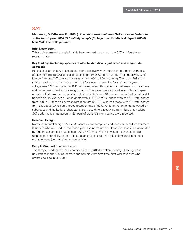**Mattern K., & Patterson, B. (2011d).** *The relationship between SAT scores and retention to the fourth year: 2006 SAT validity sample* **(College Board Statistical Report 2011-6). New York: The College Board.**

#### **Brief Description:**

This study examined the relationship between performance on the SAT and fourth-year retention rates.

#### **Key Findings (including specifics related to statistical significance and magnitude of effect):**

Results indicate that SAT scores correlated positively with fourth-year retention, with 88% of high performers (SAT total scores ranging from 2100 to 2400) returning but only 42% of low performers (SAT total scores ranging from 600 to 890) returning. The mean SAT score (critical reading + mathematics + writing) for students returning for their fourth year of college was 1727 compared to 1611 for nonreturners; this pattern of SAT means for returners and nonreturners held across subgroups. HSGPA also correlated positively with fourth-year retention. Furthermore, the positive relationship between SAT scores and retention rates still held within HSGPA levels. For students with a HSGPA of "A," those who had SAT total scores from 900 to 1190 had an average retention rate of 63%, whereas those with SAT total scores from 2100 to 2400 had an average retention rate of 89%. Although retention rates varied by subgroups and institutional characteristics, these differences were minimized when taking SAT performance into account. No tests of statistical significance were reported.

#### **Research Design:**

Nonexperimental design. Mean SAT scores were computed and then compared for returners (students who returned for the fourth-year) and nonreturners. Retention rates were computed by student academic characteristics (SAT, HSGPA) as well as by student characteristics (gender, race/ethnicity, parental income, and highest parental education) and institutional characteristics (control, size, and selectivity).

#### **Sample Size and Characteristics:**

The sample used for this study consisted of 78,640 students attending 59 colleges and universities in the U.S. Students in the sample were first-time, first-year students who entered college in fall 2006.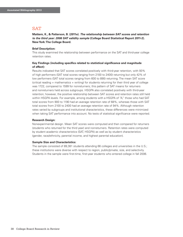**Mattern, K., & Patterson, B. (2011e).** *The relationship between SAT scores and retention to the third year: 2006 SAT validity sample* **(College Board Statistical Report 2011-2). New York: The College Board.**

#### **Brief Description:**

This study examined the relationship between performance on the SAT and third-year college retention rates.

#### **Key Findings (including specifics related to statistical significance and magnitude of effect):**

Results indicated that SAT scores correlated positively with third-year retention, with 93% of high performers (SAT total scores ranging from 2100 to 2400) returning but only 42% of low performers (SAT total scores ranging from 600 to 890) returning. The mean SAT score (critical reading + mathematics + writing) for students returning for their third year of college was 1722, compared to 1599 for nonreturners; this pattern of SAT means for returners and nonreturners held across subgroups. HSGPA also correlated positively with third-year retention; however, the positive relationship between SAT scores and retention rates still held within HSGPA levels. For example, among students with a HSGPA of "A," those who had SAT total scores from 900 to 1190 had an average retention rate of 68%, whereas those with SAT total scores from 2100 to 2400 had an average retention rate of 94%. Although retention rates varied by subgroups and institutional characteristics, these differences were minimized when taking SAT performance into account. No tests of statistical significance were reported.

#### **Research Design:**

Nonexperimental design. Mean SAT scores were computed and then compared for returners (students who returned for the third year) and nonreturners. Retention rates were computed by student academic characteristics (SAT, HSGPA) as well as by student characteristics (gender, race/ethnicity, parental income, and highest parental education).

#### **Sample Size and Characteristics:**

The sample consisted of 89,381 students attending 66 colleges and universities in the U.S.; these institutions were diverse with respect to region, public/private, size, and selectivity. Students in the sample were first-time, first-year students who entered college in fall 2006.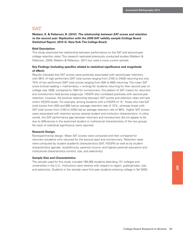**Mattern, K. & Patterson, B. (2012).** *The relationship between SAT scores and retention to the second year: Replication with the 2009 SAT validity sample* **(College Board Statistical Report, 2012-3). New York: The College Board.**

#### **Brief Description:**

This study examined the relationship between performance on the SAT and second-year college retention rates. This research replicated previously conducted studies (Mattern & Patterson, 2009; Mattern & Patterson, 2011) but used a more current sample.

#### **Key Findings (including specifics related to statistical significance and magnitude of effect):**

Results indicated that SAT scores were positively associated with second-year retention, with 96% of high performers (SAT total scores ranging from 2100 to 2400) returning but only 70% of low performers (SAT total scores ranging from 600 to 890) returning. The mean SAT score (critical reading + mathematics + writing) for students returning for their second year of college was 1699, compared to 1564 for nonreturners; this pattern of SAT means for returners and nonreturners held across subgroups. HSGPA also correlated positively with second-year retention; however, the positive relationship between SAT scores and retention rates still held within HSGPA levels. For example, among students with a HSGPA of "A," those who had SAT total scores from 600 and 890 had an average retention rate of 73%, whereas those with SAT total scores from 2100 to 2400 had an average retention rate of 96%. Higher SAT scores were associated with retention across several student and institution characteristics. In other words, the SAT performance gap between returners and nonreturners did not appear to be due to differences in the examined student or institutional characteristics of the two groups. No tests of statistical significance were reported.

#### **Research Design:**

Nonexperimental design. Mean SAT scores were computed and then compared for returners (students who returned for the second year) and nonreturners. Retention rates were computed by student academic characteristics (SAT, HSGPA) as well as by student characteristics (gender, race/ethnicity, parental income, and highest parental education) and institutional characteristics (control, size, and selectivity).

#### **Sample Size and Characteristics:**

The sample used for this study included 199,366 students attending 131 colleges and universities in the U.S.; institutions were diverse with respect to region, public/private, size, and selectivity. Students in the sample were first-year students entering college in fall 2009.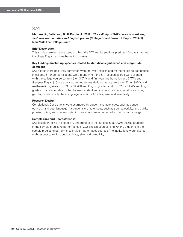**Mattern, K., Patterson, B., & Kobrin, J. (2012).** *The validity of SAT scores in predicting first year mathematics and English grades* **(College Board Research Report 2012-1). New York: The College Board.**

#### **Brief Description:**

This study examined the extent to which the SAT and its sections predicted first-year grades in college English and mathematics courses.

#### **Key Findings (including specifics related to statistical significance and magnitude of effect):**

SAT scores were positively correlated with first-year English and mathematics course grades in college. Stronger correlations were found when the SAT section scores were aligned with the college course content (i.e., SAT M and first-year mathematics and SAT-W and first-year English). Correlations corrected for restriction of range were *r* = .52 for SAT-M and mathematics grades, *r* = .33 for SAT-CR and English grades, and *r* = .37 for SAT-W and English grades. Positive correlations held across student and institutional characteristics including gender; race/ethnicity; best language; and school control, size, and selectivity.

#### **Research Design:**

Correlational. Correlations were estimated by student characteristics, such as gender, ethnicity, and best language; institutional characteristics, such as size, selectivity, and public/ private control; and course content. Correlations were corrected for restriction of range.

#### **Sample Size and Characteristics:**

SAT takers enrolling in one of 110 undergraduate institutions in fall 2006: 96,589 students in the sample predicting performance in 222 English courses, and 70,840 students in the sample predicting performance in 378 mathematics courses. The institutions were diverse with respect to region, public/private, size, and selectivity.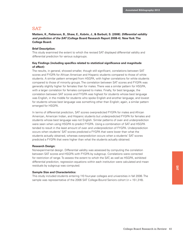**Mattern, K., Patterson, B., Shaw, E., Kobrin, J., & Barbuti, S. (2008).** *Differential validity and prediction of the SAT* **(College Board Research Report 2008-4). New York: The College Board.**

#### **Brief Description:**

This study examined the extent to which the revised SAT displayed differential validity and differential prediction for various subgroups.

#### **Key Findings (including specifics related to statistical significance and magnitude of effect):**

The results, in general, showed smaller, though still significant, correlations between SAT scores and FYGPA for African American and Hispanic students compared to those of white students. A similar pattern emerged from HSGPA, with higher correlations for white students compared to those of minority groups. The correlation between SAT scores and FYGPA was generally slightly higher for females than for males. There was a similar pattern for HSGPA, with a larger correlation for females compared to males. Finally, for best language, the correlation between SAT scores and FYGPA was highest for students whose best language was English, in the middle for students who spoke English and another language, and lowest for students whose best language was something other than English; again, a similar pattern emerged for HSGPA.

In terms of differential prediction, SAT scores overpredicted FYGPA for males and African American, American Indian, and Hispanic students but underpredicted FYGPA for females and students whose best language was not English. Similar patterns of over- and underprediction were seen when using HSGPA to predict FYGPA. Using a combination of SAT and HSGPA tended to result in the least amount of over- and underprediction of FYGPA. Underprediction occurs when students' SAT scores predicted a FYGPA that were lower than what the students actually obtained, whereas overprediction occurs when a students' SAT scores predicted a FYGPA that were higher than what the students actually obtained.

#### **Research Design:**

Nonexperimental design. Differential validity was assessed by computing the correlation between SAT scores and HSGPA with FYGPA by subgroup. Correlations were corrected for restriction of range. To assess the extent to which the SAT, as well as HSGPA, exhibited differential prediction, regression equations within each institution were calculated and mean residuals by subgroup was computed.

#### **Sample Size and Characteristics:**

This study included students entering 110 four-year colleges and universities in fall 2006. The sample was representative of the 2006 SAT College-Bound Seniors cohort ( $n = 151,316$ ).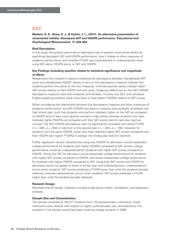**Mattern, K. D., Shaw, E. J., & Kobrin, J. L., (2011).** *An alternative presentation of incremental validity: Discrepant SAT and HSGPA performance. Educational and Psychological Measurement, 71***, 638–662.**

#### **Brief Description:**

In this study, the authors examined an alternative way to present incremental validity by examining discrepant SAT and HSGPA performance, how it relates to other measures of academic performance, and whether FYGPA was overpredicted or underpredicted when using SAT alone, HSGPA alone, or SAT and HSGPA.

#### **Key Findings (including specifics related to statistical significance and magnitude of effect):**

Researchers first created a measure indicating the discrepancy between standardized SAT score and standardized HSGPA. Values of zero on this discrepancy measure indicate that students perform the same on the two measures, whereas positive values indicate higher SAT scores relative to their HSGPA and vice versa. Subgroup differences on the SAT–HSGPA discrepancy measure were then analyzed, and females, minority, low SES, and nonnative English-speaking students were more likely to have higher HSGPAs relative to SAT scores.

When considering the relationship between the discrepancy measure and other measures of academic performance, the SAT–HSGPA discrepancy measure was positively correlated with high school rigor, such that students who perform relatively higher on the SAT as compared to HSGPA tend to take more rigorous courses in high school whereas students who have relatively higher HSGPAs as compared with their SAT scores tend to take less rigorous courses. The SAT–HSGPA discrepancy was not significantly correlated with either FYGPA  $(r = -.005, p = .054)$  or retention to the second year  $(r = -.004, p = .158)$ . However for students with the same HSGPA, those who have relatively higher SAT scores compared with their HSGPA earn higher FYGPAs in college; this finding also held for retention.

Finally, regression results indicated that using only HSGPA for admission would overpredict college performance for students with higher HSGPAs compared to SAT scores; college performance would be underpredicted for students with higher SAT scores compared to HSGPA. Using only SAT for admission would overpredict college performance for students with higher SAT scores compared to HSGPA, and would underpredict college performance for students with higher HSGPA compared to SAT. Using both SAT scores and HSGPA for admission would not appear to result in similar over- and underpredictions. Underprediction occurs when students' SAT scores predicted a FYGPA lower than what the students actually obtained, whereas overprediction occurs when students' SAT scores predicted a FYGPA higher than what the students actually obtained.

#### **Research Design:**

Nonexperimental design. Analyses included single group *t*-tests, correlations, and regression analyses.

#### **Sample Size and Characteristics:**

The sample consisted of 150,377 students from 110 postsecondary institutions; these institutions were diverse with respect to region, public/private, size, and selectivity. The students in the sample would have been entering college students in 2006.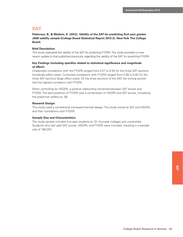**Patterson, B., & Mattern, K. (2012).** *Validity of the SAT for predicting first-year grades: 2009 validity sample* **(College Board Statistical Report 2012-2). New York: The College Board.**

#### **Brief Description:**

This study evaluated the validity of the SAT for predicting FYGPA. The study provided a more recent update to that published previously regarding the validity of the SAT for predicting FYGPA.

#### **Key Findings (including specifics related to statistical significance and magnitude of effect):**

Unadjusted correlations with the FYGPA ranged from 0.27 to 0.45 for the three SAT sections (moderate effect sizes). Corrected correlations with FYGPA ranged from 0.48 to 0.62 for the three SAT sections (large effect sizes). Of the three sections of the SAT, the writing section had the highest correlation with FYGPA.

When controlling for HSGPA, a positive relationship remained between SAT scores and FYGPA. The best predictor of FYGPA was a combination of HSGPA and SAT scores, increasing the predictive validity by .08.

#### **Research Design:**

This study used a correlational (nonexperimental) design. The study looked at SAT and HSGPA, and their correlations with FYGPA.

#### **Sample Size and Characteristics:**

The study sample included first-year students at 131 four-year colleges and universities. Students who had valid SAT scores, HSGPA, and FYGPA were included, resulting in a sample size of 198,253.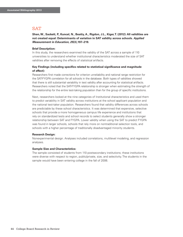**Shen, W., Sackett, P., Kuncel, N., Beatty, A., Rigdon, J.L., Kiger, T. (2012): All validities are not created equal: Determinants of variation in SAT validity across schools.** *Applied Measurement in Education, 25***(3),197–219.**

#### **Brief Description:**

In this study, the researchers examined the validity of the SAT across a sample of 110 universities to understand whether institutional characteristics moderated the size of SAT validities after removing the effects of statistical artifacts.

#### **Key Findings (including specifics related to statistical significance and magnitude of effect):**

Researchers first made corrections for criterion unreliability and national range restriction for the SAT-FYGPA correlation for all schools in the database. Both types of validities showed that there is still substantial variability in test validity after accounting for statistical artifacts. Researchers noted that the SAT-FYGPA relationship is stronger when estimating the strength of the relationship for the entire test-taking population than for the group of specific institutions.

Next, researchers looked at the nine categories of Institutional characteristics and used them to predict variability in SAT validity across institutions at the school applicant population and the national test-taker population. Researchers found that validity differences across schools are predictable by these school characteristics. It was determined that expensive, selective schools that provide a more homogeneous campus life experience and institutions that rely on standardized tests and school records to select students generally show a stronger relationship between SAT and FYGPA. Lower validity when using the SAT to predict FYGPA was found in larger schools, schools that rely more on nontraditional selection tools, and schools with a higher percentage of traditionally disadvantaged minority students.

#### **Research Design:**

Nonexperimental design. Analyses included correlations, multilevel modeling, and regression analyses.

#### **Sample Size and Characteristics:**

The sample consisted of students from 110 postsecondary institutions; these institutions were diverse with respect to region, public/private, size, and selectivity. The students in the sample would have been entering college in the fall of 2006.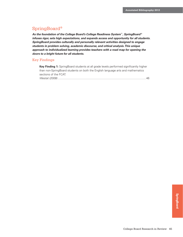## SpringBoard®

*As the foundation of the College Board's College Readiness System***™***, SpringBoard* **®** *infuses rigor, sets high expectations, and expands access and opportunity for all students. SpringBoard provides culturally and personally relevant activities designed to engage students in problem solving, academic discourse, and critical analysis. This unique approach to individualized learning provides teachers with a road map for opening the doors to a bright future for all students.*

#### Key Findings

| <b>Key Finding 1:</b> SpringBoard students at all grade levels performed significantly higher |
|-----------------------------------------------------------------------------------------------|
| than non-SpringBoard students on both the English language arts and mathematics               |
| sections of the FCAT.                                                                         |
| 46                                                                                            |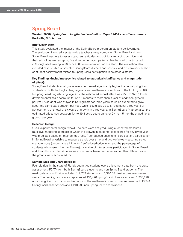## SpringBoard

#### **Westat (2008).** *SpringBoard longitudinal evaluation: Report 2008 executive summary***. Rockville, MD: Author.**

#### **Brief Description:**

This study evaluated the impact of the SpringBoard program on student achievement. The evaluation included a systemwide teacher survey comparing SpringBoard and non-SpringBoard teachers to assess teachers' attitudes and opinions regarding conditions at their school, as well as SpringBoard implementation patterns. Teachers who participated in SpringBoard training in 2005 or 2006 were recruited for this study. The evaluation also included case studies of selected SpringBoard districts and schools, and a preliminary analysis of student achievement related to SpringBoard participation in selected districts.

#### **Key Findings (including specifics related to statistical significance and magnitude of effect):**

SpringBoard students at all grade levels performed significantly higher than non-SpringBoard students on both the English language arts and mathematics sections of the FCAT ( $p < .01$ ). In SpringBoard English Language Arts, the estimated annual effect was 25.5 to 37.3 (Florida developmental scale score) units, or 2.5 months to more than a year of additional growth per year. A student who stayed in SpringBoard for three years could be expected to grow about the same extra amount per year, which could add up to an additional three years of achievement, or a total of six years of growth in three years. In SpringBoard Mathematics, the estimated effect was between 4.4 to 19.4 scale score units, or 0.4 to 4.5 months of additional growth per year.

#### **Research Design:**

Quasi-experimental design (weak). The data were analyzed using a repeated-measures, multilevel modeling approach in which the growth in students' test scores for any given year was predicted based on their gender, race, free/reduced-price lunch participation, participation in SpringBoard, a variable to measure trends over time, and two variables measuring school characteristics (percentage eligible for free/reduced-price lunch and the percentage of students who were minority). The major variable of interest was participation in SpringBoard and its ability to explain differences in student achievement after some other differences in the groups were accounted for.

#### **Sample Size and Characteristics:**

Four districts in the state of Florida submitted student-level achievement data from the state assessment (FCAT) from both SpringBoard students and non-SpringBoard students. The reading data from Florida included 419,709 students and 1,370,654 test scores over seven years. The reading test scores represented 134,426 SpringBoard observations and 1,236,228 non-SpringBoard comparison observations. The mathematics test scores represented 113,944 SpringBoard observations and 1,240,298 non-SpringBoard observations.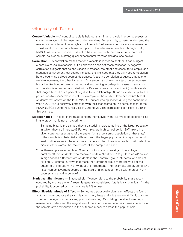## Glossary of Terms

- **Control Variable** A control variable is held constant in an analysis in order to assess or clarify the relationship between two other variables. For example, to better understand the relationship an intervention in high school predicts SAT assessments scores, a researcher would want to control for achievement prior to the intervention (such as through PSAT/ NMSQT assessment scores). It is not to be confused with the creation of a matched sample, as is done in strong quasi-experimental research designs (see below).
- **Correlation** A correlation means that one variable is related to another. It can suggest a possible causal relationship, but a correlation does not mean causation. A negative correlation suggests that as one variable increases, the other decreases; for example, as a student's achievement test scores increase, the likelihood that they will need remediation before beginning college courses decreases. A positive correlation suggests that as one variable increases, the other increases: As a student's achievement test scores increase, his or her likelihood of being accepted and succeeding in college increases. In statistics, a correlation is often demonstrated with a Pearson correlation coefficient (*r*) with a scale that ranges from -1 (for a perfect negative linear relationship), 0 (for no relationship) to 1 (a perfect positive linear relationship). For example, in the study of Proctor and Kim (2010), students' test scores on the PSAT/NMSQT critical reading section during the sophomore year in 2007 were positively correlated with their test scores on this same section of the PSAT/NMSQT during the junior year in 2008 (p. 28). The correlation coefficient is 0.85 in this example.
- **Selection Bias** Researchers must concern themselves with two types of selection bias in any study that is not an experiment.
	- 1. Sampling bias: Is the sample they are studying representative of the larger population in which they are interested? For example, are high school senior SAT takers in a given state representative of the entire high school senior population of that state? If the sample is substantially different from the larger population in ways that would lead to differences in the outcomes of interest, then there is a problem with selection bias; in other words, the "selection" of the sample is biased.
	- 2. Within-sample selection bias: Given an outcome of interest (such as college enrollment), are students who receive a certain "treatment" (e.g., take an AP course in high school) different from students in the "control" group (students who do not take an AP course) in ways that make the treatment group more likely to get the outcome of interest with or without the "treatment"? For example, are students who have high achievement scores at the start of high school more likely to enroll in AP courses and enroll in college?
- **Statistical Significance** Statistical significance refers to the probability that a result occurred by chance alone. A result is generally considered "statistically significant" if the probability it occurred by chance alone is 5% or less.
- **Effect Size/Magnitude of Effect** Sometimes statistically significant effects are found in a study simply because the sample size is very large and it is therefore difficult to know whether the significance has any practical meaning. Calculating the effect size helps researchers understand the magnitude of the effects seen because it takes into account the sample size and variation in the outcome measure across the population(s).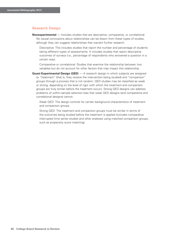#### Research Design

**Nonexperimental** — Includes studies that are descriptive, comparative, or correlational. No causal conclusions about relationships can be drawn from these types of studies, although they can suggest relationships that warrant further research.

Descriptive: This includes studies that report the number and percentage of students taking different types of assessments. It includes studies that report descriptive outcomes of surveys (i.e., percentage of respondents who answered a question in a certain way).

Comparative or correlational: Studies that examine the relationship between two variables but do not account for other factors that may impact this relationship.

**Quasi-Experimental Design (QED**) — A research design in which subjects are assigned to "treatment" (that is, they receive the intervention being studied) and "comparison" groups through a process that is not random. QED studies may be classified as weak or strong, depending on the level of rigor with which the treatment and comparison groups are truly similar before the treatment occurs. Strong QED designs can address problems of within-sample selection bias that weak QED designs (and comparative and correlational designs) cannot.

Weak QED: The design controls for certain background characteristics of treatment and comparison groups.

Strong QED: The treatment and comparison groups must be similar in terms of the outcomes being studied before the treatment is applied (includes comparative interrupted time series studies and other analyses using matched comparison groups, such as propensity score matching).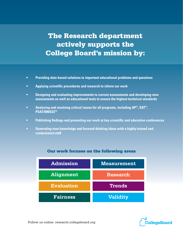## The Research department actively supports the College Board's mission by:

- **• Providing data-based solutions to important educational problems and questions**
- **• Applying scientific procedures and research to inform our work**
- **• Designing and evaluating improvements to current assessments and developing new assessments as well as educational tools to ensure the highest technical standards**
- **• Analyzing and resolving critical issues for all programs, including AP®, SAT®, PSAT/NMSQT®**
- **• Publishing findings and presenting our work at key scientific and education conferences**
- **• Generating new knowledge and forward-thinking ideas with a highly trained and credentialed staff**



## Our work focuses on the following areas